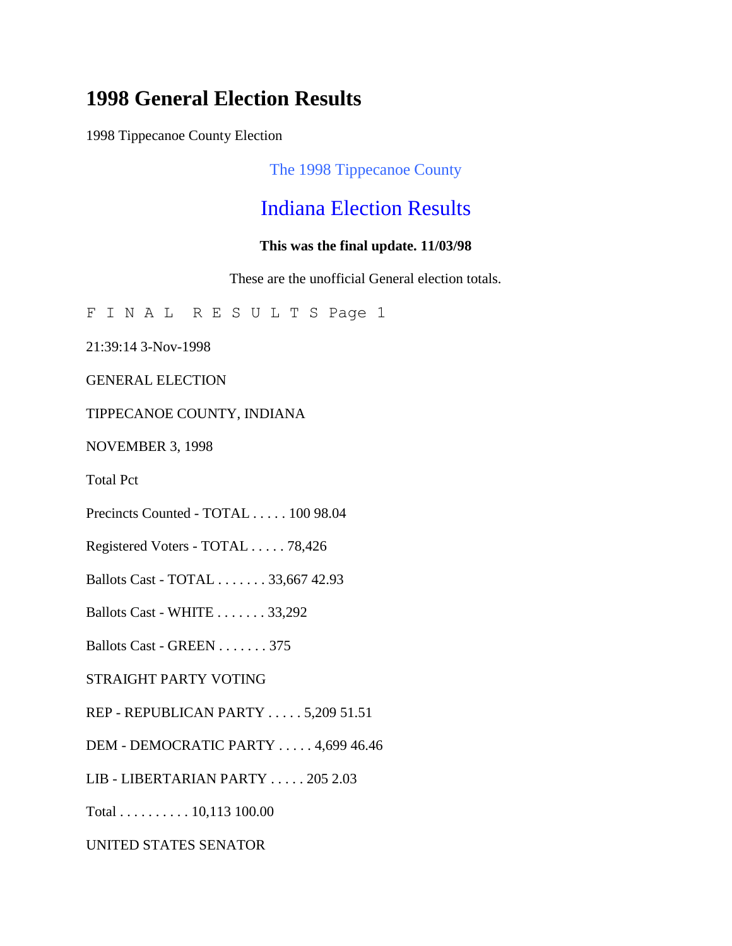# **1998 General Election Results**

1998 Tippecanoe County Election

The 1998 Tippecanoe County

## Indiana Election Results

#### **This was the final update. 11/03/98**

These are the unofficial General election totals.

F I N A L R E S U L T S Page 1

21:39:14 3-Nov-1998

GENERAL ELECTION

#### TIPPECANOE COUNTY, INDIANA

NOVEMBER 3, 1998

Total Pct

Precincts Counted - TOTAL . . . . . 100 98.04

Registered Voters - TOTAL . . . . . 78,426

Ballots Cast - TOTAL . . . . . . . 33,667 42.93

Ballots Cast - WHITE . . . . . . . 33,292

Ballots Cast - GREEN . . . . . . . 375

STRAIGHT PARTY VOTING

REP - REPUBLICAN PARTY . . . . . 5,209 51.51

DEM - DEMOCRATIC PARTY . . . . . 4,699 46.46

LIB - LIBERTARIAN PARTY . . . . . 205 2.03

Total . . . . . . . . . . 10,113 100.00

UNITED STATES SENATOR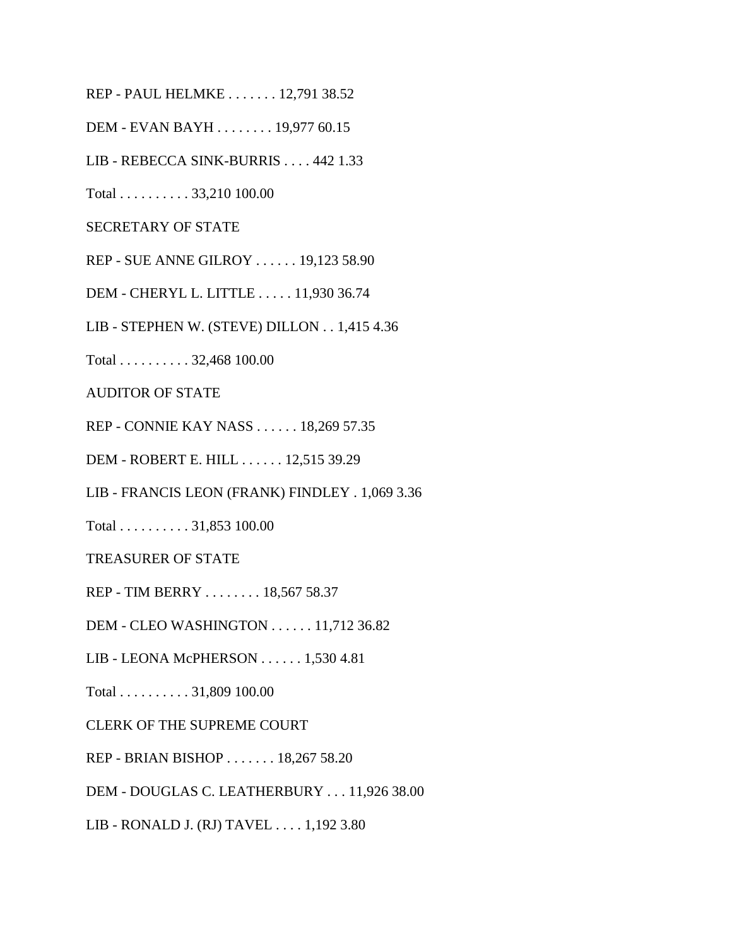REP - PAUL HELMKE . . . . . . . 12,791 38.52

DEM - EVAN BAYH . . . . . . . . 19,977 60.15

LIB - REBECCA SINK-BURRIS . . . . 442 1.33

Total . . . . . . . . . . 33,210 100.00

SECRETARY OF STATE

REP - SUE ANNE GILROY . . . . . . 19,123 58.90

DEM - CHERYL L. LITTLE . . . . . 11,930 36.74

LIB - STEPHEN W. (STEVE) DILLON . . 1,415 4.36

Total . . . . . . . . . . 32,468 100.00

AUDITOR OF STATE

REP - CONNIE KAY NASS . . . . . . 18,269 57.35

DEM - ROBERT E. HILL . . . . . . 12,515 39.29

LIB - FRANCIS LEON (FRANK) FINDLEY . 1,069 3.36

Total . . . . . . . . . . 31,853 100.00

TREASURER OF STATE

REP - TIM BERRY . . . . . . . . 18,567 58.37

DEM - CLEO WASHINGTON . . . . . . 11,712 36.82

LIB - LEONA McPHERSON . . . . . . 1,530 4.81

Total . . . . . . . . . . 31,809 100.00

CLERK OF THE SUPREME COURT

REP - BRIAN BISHOP . . . . . . . 18,267 58.20

DEM - DOUGLAS C. LEATHERBURY . . . 11,926 38.00

LIB - RONALD J. (RJ) TAVEL . . . . 1,192 3.80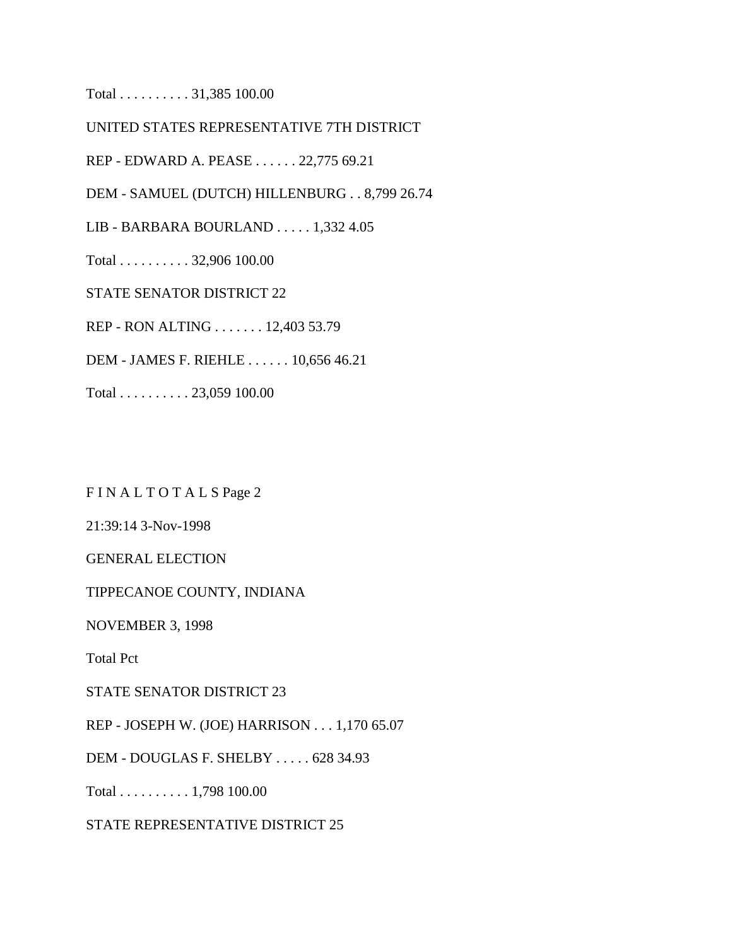Total . . . . . . . . . . 31,385 100.00

UNITED STATES REPRESENTATIVE 7TH DISTRICT

REP - EDWARD A. PEASE . . . . . . 22,775 69.21

DEM - SAMUEL (DUTCH) HILLENBURG . . 8,799 26.74

LIB - BARBARA BOURLAND . . . . . 1,332 4.05

Total . . . . . . . . . . 32,906 100.00

STATE SENATOR DISTRICT 22

REP - RON ALTING . . . . . . . 12,403 53.79

DEM - JAMES F. RIEHLE . . . . . . 10,656 46.21

Total . . . . . . . . . . 23,059 100.00

F I N A L T O T A L S Page 2

21:39:14 3-Nov-1998

GENERAL ELECTION

TIPPECANOE COUNTY, INDIANA

NOVEMBER 3, 1998

Total Pct

STATE SENATOR DISTRICT 23

REP - JOSEPH W. (JOE) HARRISON . . . 1,170 65.07

DEM - DOUGLAS F. SHELBY . . . . . 628 34.93

Total . . . . . . . . . . 1,798 100.00

STATE REPRESENTATIVE DISTRICT 25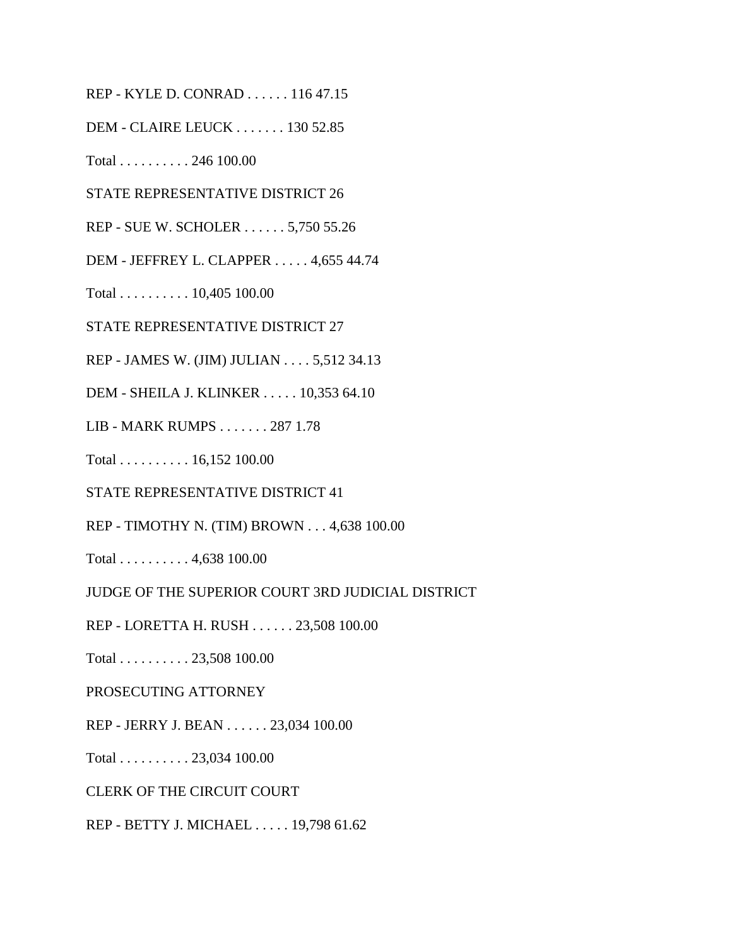REP - KYLE D. CONRAD . . . . . . 116 47.15

DEM - CLAIRE LEUCK . . . . . . . 130 52.85

Total . . . . . . . . . . 246 100.00

STATE REPRESENTATIVE DISTRICT 26

REP - SUE W. SCHOLER . . . . . . 5,750 55.26

DEM - JEFFREY L. CLAPPER . . . . . 4,655 44.74

Total . . . . . . . . . . 10,405 100.00

STATE REPRESENTATIVE DISTRICT 27

REP - JAMES W. (JIM) JULIAN . . . . 5,512 34.13

DEM - SHEILA J. KLINKER . . . . . 10,353 64.10

LIB - MARK RUMPS . . . . . . . 287 1.78

Total . . . . . . . . . . 16,152 100.00

STATE REPRESENTATIVE DISTRICT 41

REP - TIMOTHY N. (TIM) BROWN . . . 4,638 100.00

Total . . . . . . . . . . 4,638 100.00

JUDGE OF THE SUPERIOR COURT 3RD JUDICIAL DISTRICT

REP - LORETTA H. RUSH . . . . . . 23,508 100.00

Total . . . . . . . . . . 23,508 100.00

PROSECUTING ATTORNEY

REP - JERRY J. BEAN . . . . . . 23,034 100.00

Total . . . . . . . . . . 23,034 100.00

CLERK OF THE CIRCUIT COURT

REP - BETTY J. MICHAEL . . . . . 19,798 61.62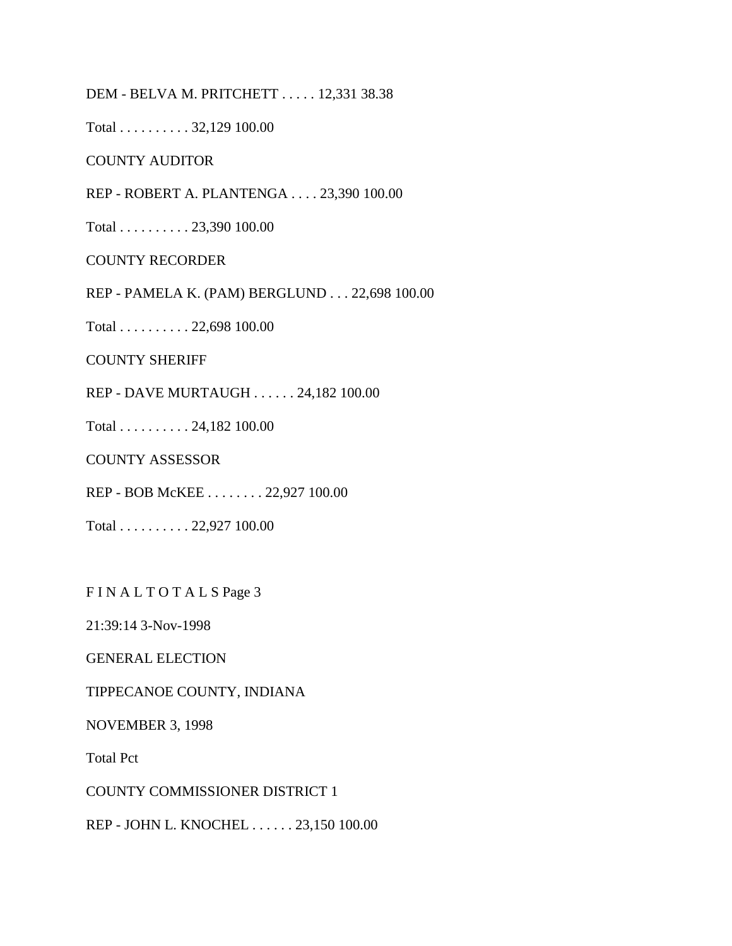DEM - BELVA M. PRITCHETT . . . . . 12,331 38.38

Total . . . . . . . . . . 32,129 100.00

COUNTY AUDITOR

REP - ROBERT A. PLANTENGA . . . . 23,390 100.00

Total . . . . . . . . . . 23,390 100.00

COUNTY RECORDER

REP - PAMELA K. (PAM) BERGLUND . . . 22,698 100.00

Total . . . . . . . . . . 22,698 100.00

COUNTY SHERIFF

REP - DAVE MURTAUGH . . . . . . 24,182 100.00

Total . . . . . . . . . . 24,182 100.00

COUNTY ASSESSOR

REP - BOB McKEE . . . . . . . . 22,927 100.00

Total . . . . . . . . . . 22,927 100.00

FIN ALTOTALS Page 3

21:39:14 3-Nov-1998

GENERAL ELECTION

TIPPECANOE COUNTY, INDIANA

NOVEMBER 3, 1998

Total Pct

COUNTY COMMISSIONER DISTRICT 1

REP - JOHN L. KNOCHEL . . . . . . 23,150 100.00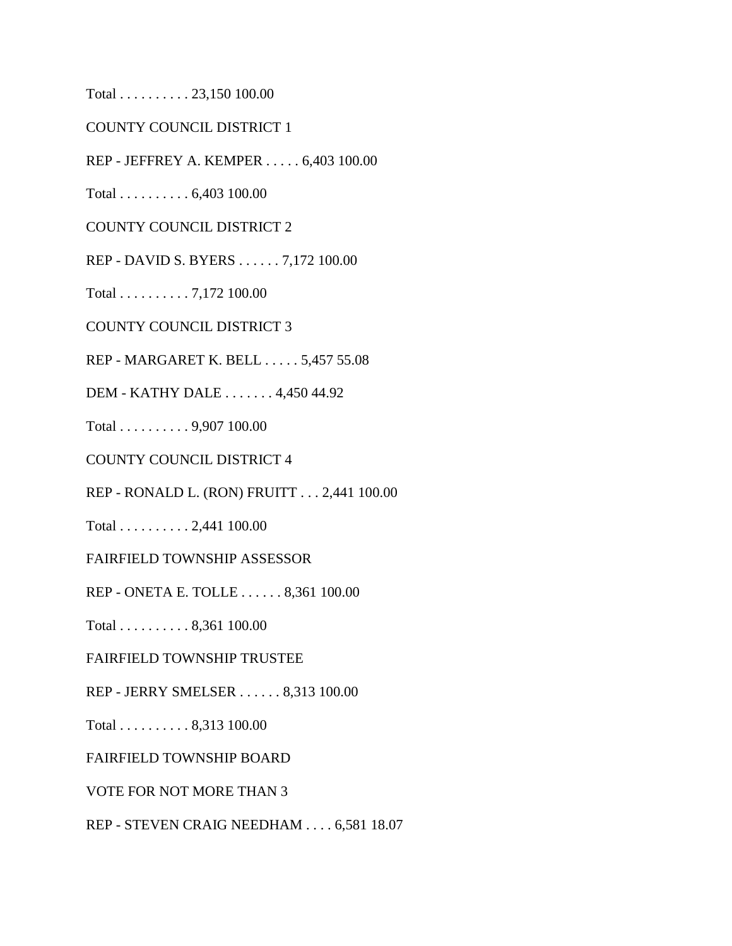Total . . . . . . . . . . 23,150 100.00

COUNTY COUNCIL DISTRICT 1

REP - JEFFREY A. KEMPER . . . . . 6,403 100.00

Total . . . . . . . . . . 6,403 100.00

COUNTY COUNCIL DISTRICT 2

REP - DAVID S. BYERS . . . . . . 7,172 100.00

Total . . . . . . . . . . 7,172 100.00

COUNTY COUNCIL DISTRICT 3

REP - MARGARET K. BELL . . . . . 5,457 55.08

DEM - KATHY DALE . . . . . . . 4,450 44.92

Total . . . . . . . . . . 9,907 100.00

COUNTY COUNCIL DISTRICT 4

REP - RONALD L. (RON) FRUITT . . . 2,441 100.00

Total . . . . . . . . . . 2,441 100.00

FAIRFIELD TOWNSHIP ASSESSOR

REP - ONETA E. TOLLE . . . . . . 8,361 100.00

Total . . . . . . . . . . 8,361 100.00

FAIRFIELD TOWNSHIP TRUSTEE

REP - JERRY SMELSER . . . . . . 8,313 100.00

Total . . . . . . . . . . 8,313 100.00

FAIRFIELD TOWNSHIP BOARD

VOTE FOR NOT MORE THAN 3

REP - STEVEN CRAIG NEEDHAM . . . . 6,581 18.07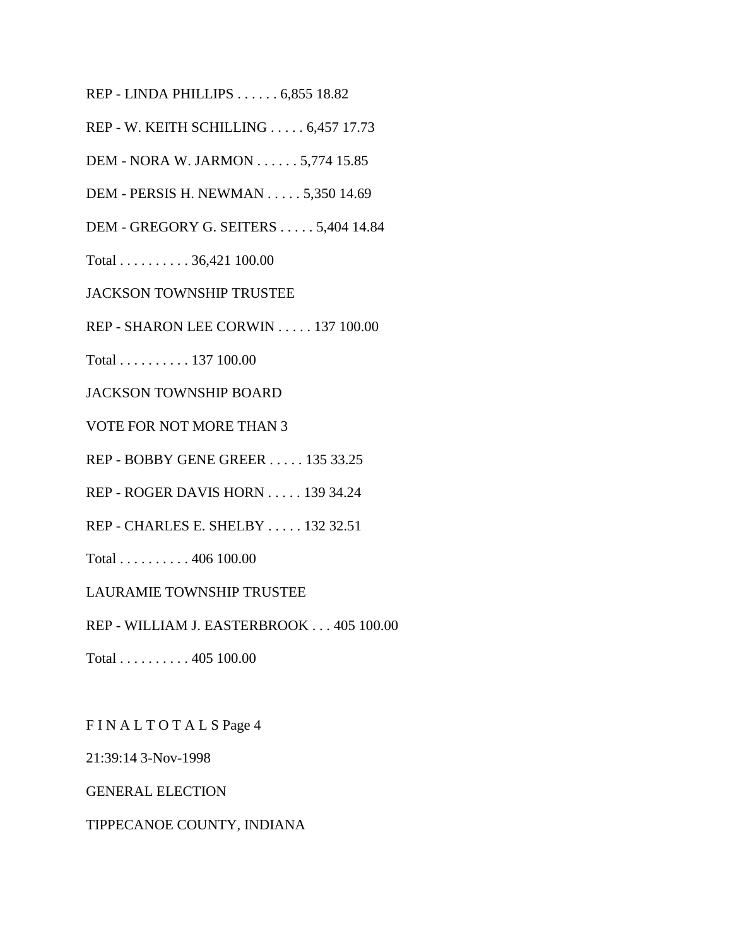REP - LINDA PHILLIPS . . . . . . 6,855 18.82

REP - W. KEITH SCHILLING . . . . . 6,457 17.73

DEM - NORA W. JARMON . . . . . . 5,774 15.85

DEM - PERSIS H. NEWMAN . . . . . 5,350 14.69

DEM - GREGORY G. SEITERS . . . . . 5,404 14.84

Total . . . . . . . . . . 36,421 100.00

JACKSON TOWNSHIP TRUSTEE

REP - SHARON LEE CORWIN . . . . . 137 100.00

Total . . . . . . . . . . 137 100.00

JACKSON TOWNSHIP BOARD

VOTE FOR NOT MORE THAN 3

REP - BOBBY GENE GREER . . . . . 135 33.25

REP - ROGER DAVIS HORN . . . . . 139 34.24

REP - CHARLES E. SHELBY . . . . . 132 32.51

Total . . . . . . . . . . 406 100.00

LAURAMIE TOWNSHIP TRUSTEE

REP - WILLIAM J. EASTERBROOK . . . 405 100.00

Total . . . . . . . . . . 405 100.00

F I N A L T O T A L S Page 4

21:39:14 3-Nov-1998

GENERAL ELECTION

#### TIPPECANOE COUNTY, INDIANA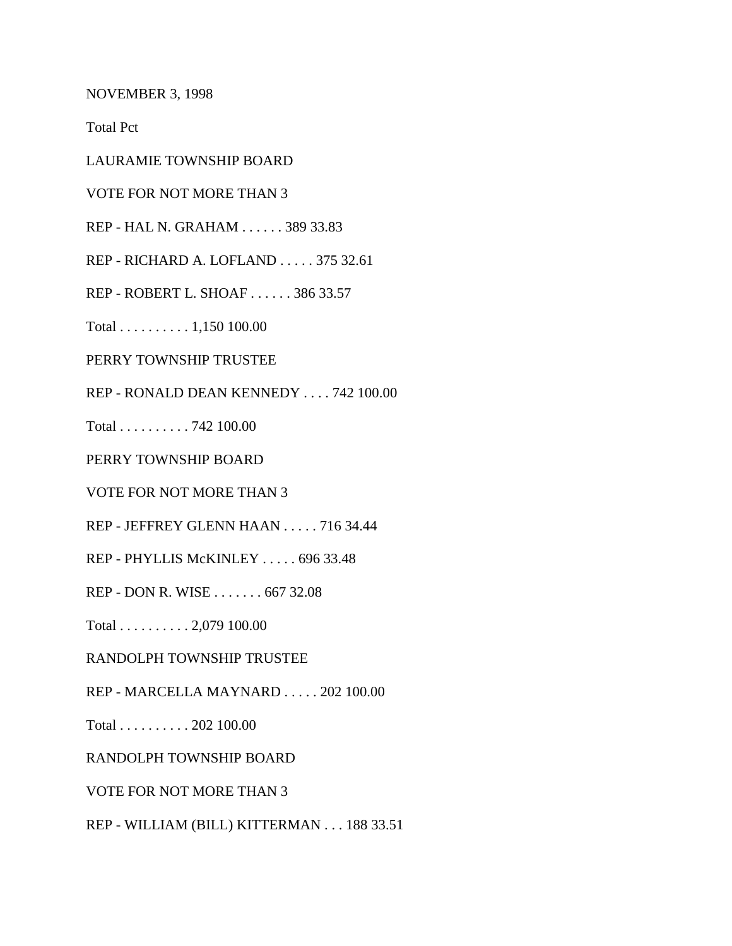NOVEMBER 3, 1998

Total Pct

LAURAMIE TOWNSHIP BOARD

VOTE FOR NOT MORE THAN 3

REP - HAL N. GRAHAM . . . . . . 389 33.83

REP - RICHARD A. LOFLAND . . . . . 375 32.61

REP - ROBERT L. SHOAF . . . . . . 386 33.57

Total . . . . . . . . . . 1,150 100.00

PERRY TOWNSHIP TRUSTEE

REP - RONALD DEAN KENNEDY . . . . 742 100.00

Total . . . . . . . . . . 742 100.00

PERRY TOWNSHIP BOARD

VOTE FOR NOT MORE THAN 3

REP - JEFFREY GLENN HAAN . . . . . 716 34.44

REP - PHYLLIS McKINLEY . . . . . 696 33.48

REP - DON R. WISE . . . . . . . 667 32.08

Total . . . . . . . . . . 2,079 100.00

RANDOLPH TOWNSHIP TRUSTEE

REP - MARCELLA MAYNARD . . . . . 202 100.00

Total . . . . . . . . . . 202 100.00

RANDOLPH TOWNSHIP BOARD

VOTE FOR NOT MORE THAN 3

REP - WILLIAM (BILL) KITTERMAN . . . 188 33.51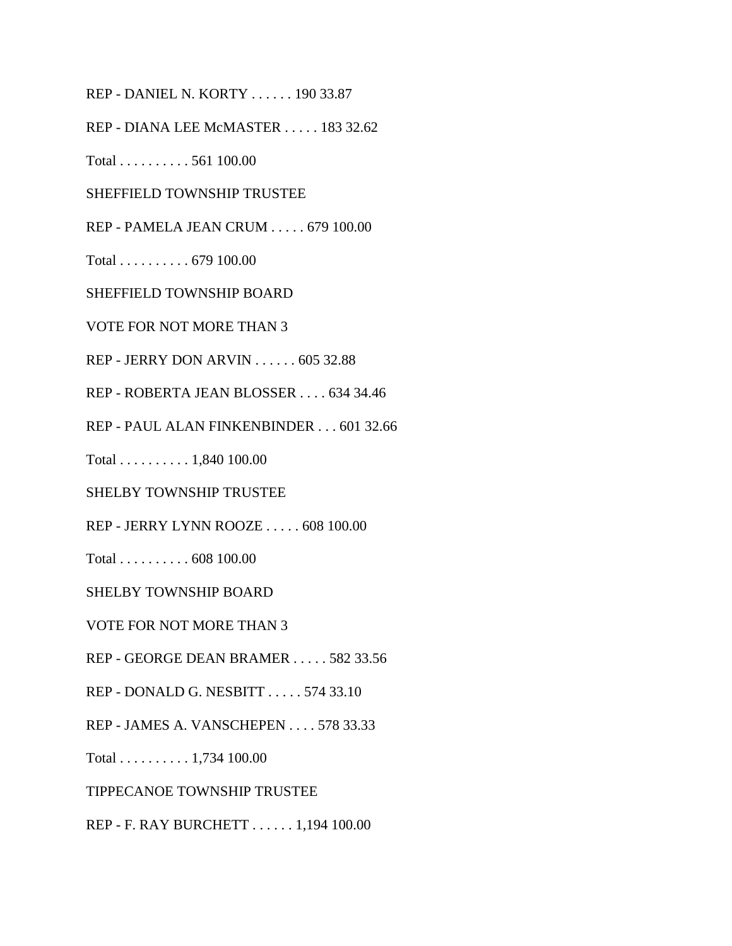REP - DANIEL N. KORTY . . . . . . 190 33.87

REP - DIANA LEE McMASTER . . . . . 183 32.62

Total . . . . . . . . . . 561 100.00

SHEFFIELD TOWNSHIP TRUSTEE

REP - PAMELA JEAN CRUM . . . . . 679 100.00

Total . . . . . . . . . . 679 100.00

SHEFFIELD TOWNSHIP BOARD

VOTE FOR NOT MORE THAN 3

REP - JERRY DON ARVIN . . . . . . 605 32.88

REP - ROBERTA JEAN BLOSSER . . . . 634 34.46

REP - PAUL ALAN FINKENBINDER . . . 601 32.66

Total . . . . . . . . . . 1,840 100.00

SHELBY TOWNSHIP TRUSTEE

REP - JERRY LYNN ROOZE . . . . . 608 100.00

Total . . . . . . . . . . 608 100.00

SHELBY TOWNSHIP BOARD

VOTE FOR NOT MORE THAN 3

REP - GEORGE DEAN BRAMER . . . . . 582 33.56

REP - DONALD G. NESBITT . . . . . 574 33.10

REP - JAMES A. VANSCHEPEN . . . . 578 33.33

Total . . . . . . . . . . 1,734 100.00

TIPPECANOE TOWNSHIP TRUSTEE

REP - F. RAY BURCHETT . . . . . . 1,194 100.00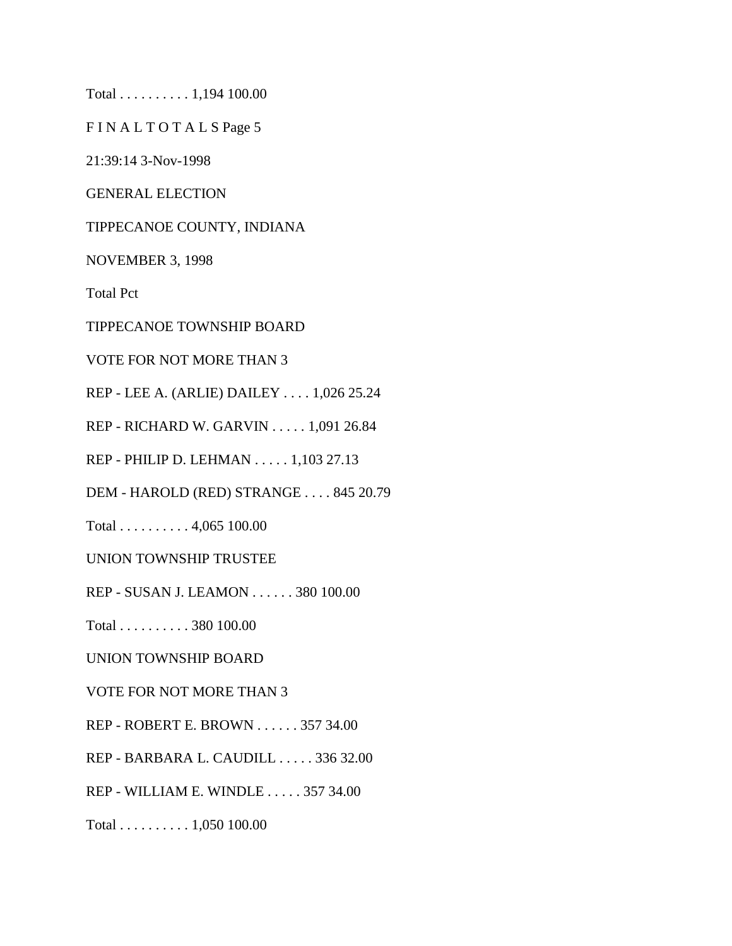Total . . . . . . . . . . 1,194 100.00

F I N A L T O T A L S Page 5

21:39:14 3-Nov-1998

GENERAL ELECTION

TIPPECANOE COUNTY, INDIANA

NOVEMBER 3, 1998

Total Pct

TIPPECANOE TOWNSHIP BOARD

VOTE FOR NOT MORE THAN 3

REP - LEE A. (ARLIE) DAILEY . . . . 1,026 25.24

REP - RICHARD W. GARVIN . . . . . 1,091 26.84

REP - PHILIP D. LEHMAN . . . . . 1,103 27.13

DEM - HAROLD (RED) STRANGE . . . . 845 20.79

Total . . . . . . . . . . 4,065 100.00

UNION TOWNSHIP TRUSTEE

REP - SUSAN J. LEAMON . . . . . . 380 100.00

Total . . . . . . . . . . 380 100.00

UNION TOWNSHIP BOARD

VOTE FOR NOT MORE THAN 3

REP - ROBERT E. BROWN . . . . . . 357 34.00

REP - BARBARA L. CAUDILL . . . . . 336 32.00

REP - WILLIAM E. WINDLE . . . . . 357 34.00

Total . . . . . . . . . . 1,050 100.00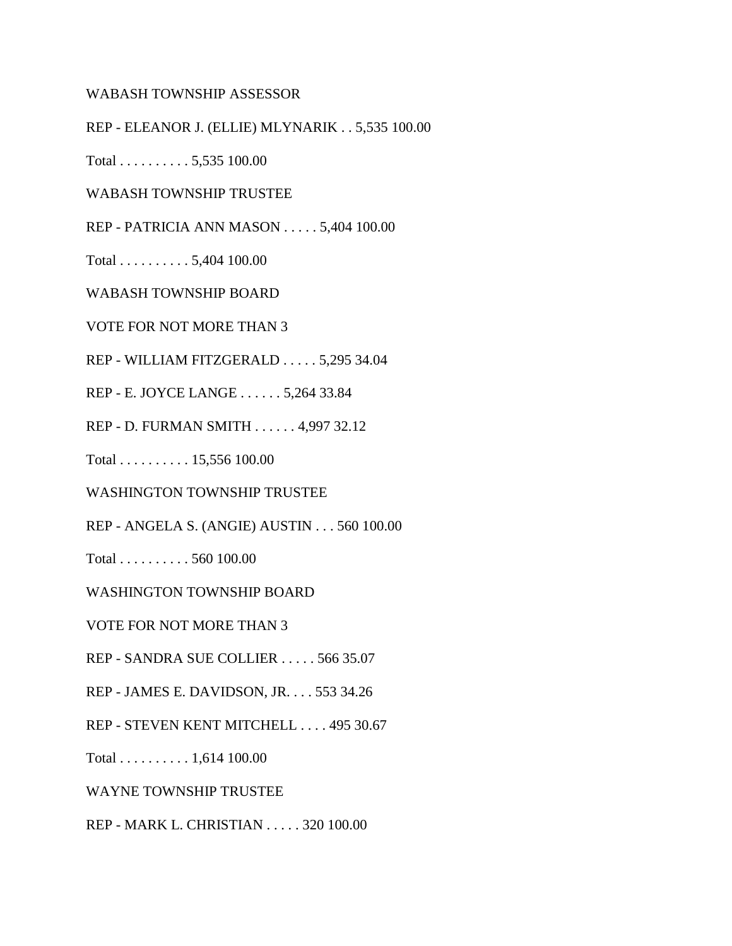WABASH TOWNSHIP ASSESSOR

REP - ELEANOR J. (ELLIE) MLYNARIK . . 5,535 100.00

Total . . . . . . . . . . 5,535 100.00

WABASH TOWNSHIP TRUSTEE

REP - PATRICIA ANN MASON . . . . . 5,404 100.00

Total . . . . . . . . . . 5,404 100.00

WABASH TOWNSHIP BOARD

VOTE FOR NOT MORE THAN 3

REP - WILLIAM FITZGERALD . . . . . 5,295 34.04

REP - E. JOYCE LANGE . . . . . . 5,264 33.84

REP - D. FURMAN SMITH . . . . . . 4,997 32.12

Total . . . . . . . . . . 15,556 100.00

WASHINGTON TOWNSHIP TRUSTEE

REP - ANGELA S. (ANGIE) AUSTIN . . . 560 100.00

Total . . . . . . . . . . 560 100.00

WASHINGTON TOWNSHIP BOARD

VOTE FOR NOT MORE THAN 3

REP - SANDRA SUE COLLIER . . . . . 566 35.07

REP - JAMES E. DAVIDSON, JR. . . . 553 34.26

REP - STEVEN KENT MITCHELL . . . . 495 30.67

Total . . . . . . . . . . 1,614 100.00

WAYNE TOWNSHIP TRUSTEE

REP - MARK L. CHRISTIAN . . . . . 320 100.00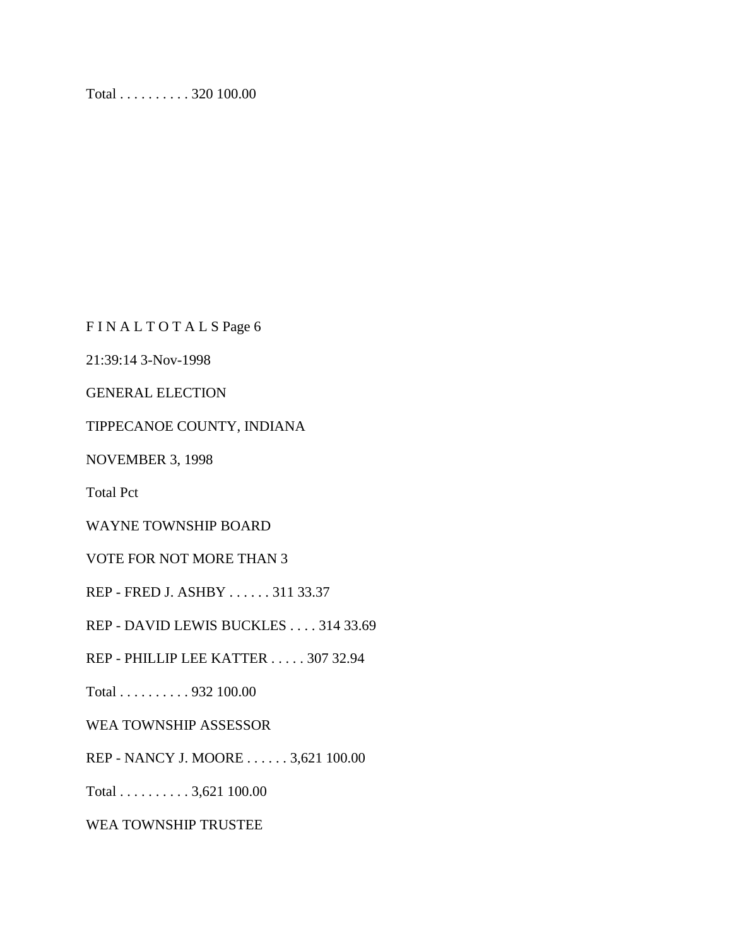Total . . . . . . . . . . 320 100.00

FINALTOTALSPage 6

21:39:14 3-Nov-1998

GENERAL ELECTION

TIPPECANOE COUNTY, INDIANA

NOVEMBER 3, 1998

Total Pct

WAYNE TOWNSHIP BOARD

VOTE FOR NOT MORE THAN 3

REP - FRED J. ASHBY . . . . . . 311 33.37

REP - DAVID LEWIS BUCKLES . . . . 314 33.69

REP - PHILLIP LEE KATTER . . . . . 307 32.94

Total . . . . . . . . . . 932 100.00

WEA TOWNSHIP ASSESSOR

REP - NANCY J. MOORE . . . . . . 3,621 100.00

Total . . . . . . . . . . 3,621 100.00

WEA TOWNSHIP TRUSTEE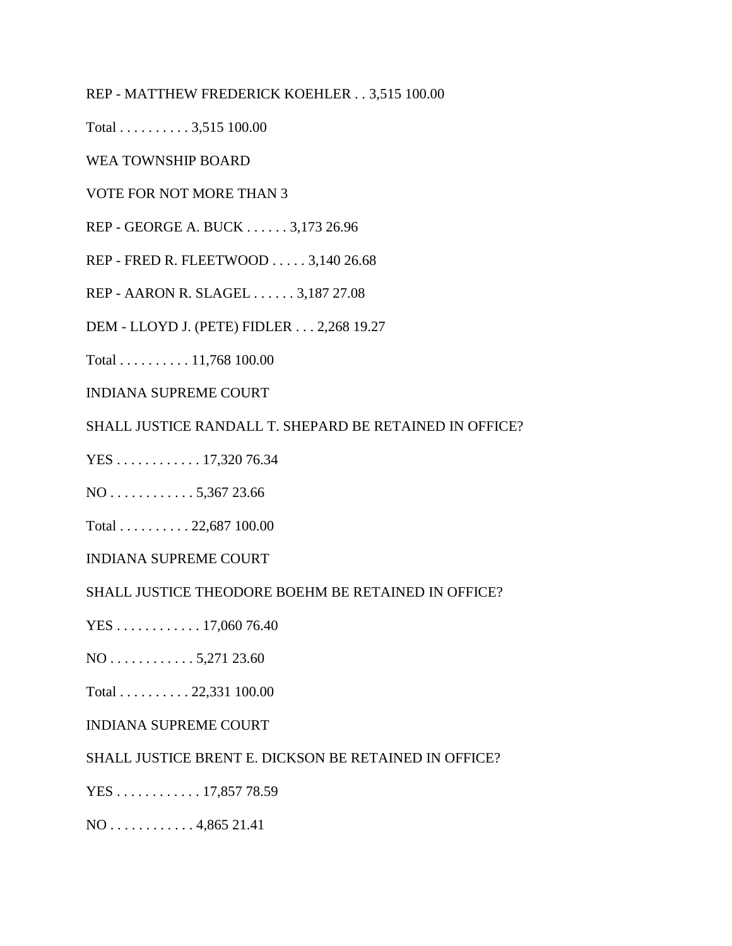REP - MATTHEW FREDERICK KOEHLER . . 3,515 100.00

Total . . . . . . . . . . 3,515 100.00

WEA TOWNSHIP BOARD

VOTE FOR NOT MORE THAN 3

REP - GEORGE A. BUCK . . . . . . 3,173 26.96

REP - FRED R. FLEETWOOD . . . . . 3,140 26.68

REP - AARON R. SLAGEL . . . . . . 3,187 27.08

DEM - LLOYD J. (PETE) FIDLER . . . 2,268 19.27

Total . . . . . . . . . . 11,768 100.00

INDIANA SUPREME COURT

SHALL JUSTICE RANDALL T. SHEPARD BE RETAINED IN OFFICE?

YES . . . . . . . . . . . . 17,320 76.34

NO . . . . . . . . . . . . 5,367 23.66

Total . . . . . . . . . . 22,687 100.00

INDIANA SUPREME COURT

SHALL JUSTICE THEODORE BOEHM BE RETAINED IN OFFICE?

YES . . . . . . . . . . . . 17,060 76.40

NO . . . . . . . . . . . . 5,271 23.60

Total . . . . . . . . . . 22,331 100.00

INDIANA SUPREME COURT

SHALL JUSTICE BRENT E. DICKSON BE RETAINED IN OFFICE?

YES . . . . . . . . . . . . 17,857 78.59

NO . . . . . . . . . . . . 4,865 21.41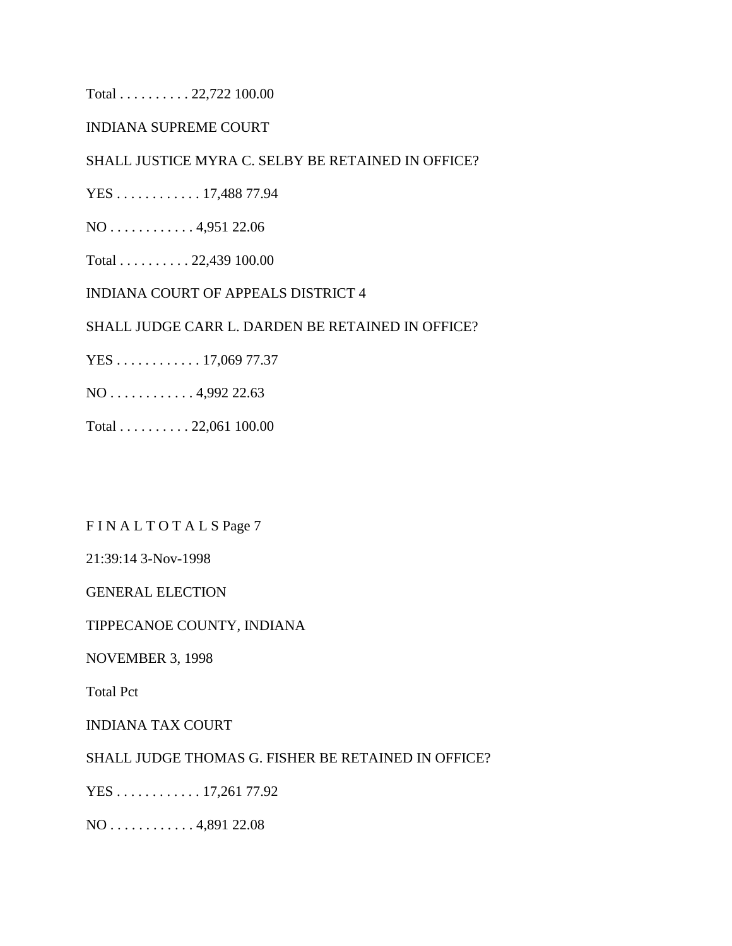Total . . . . . . . . . . 22,722 100.00

### INDIANA SUPREME COURT

#### SHALL JUSTICE MYRA C. SELBY BE RETAINED IN OFFICE?

YES . . . . . . . . . . . . 17,488 77.94

NO . . . . . . . . . . . . 4,951 22.06

Total . . . . . . . . . . 22,439 100.00

INDIANA COURT OF APPEALS DISTRICT 4

#### SHALL JUDGE CARR L. DARDEN BE RETAINED IN OFFICE?

YES . . . . . . . . . . . . 17,069 77.37

NO . . . . . . . . . . . . 4,992 22.63

Total . . . . . . . . . . 22,061 100.00

FIN ALTOTALS Page 7

21:39:14 3-Nov-1998

GENERAL ELECTION

TIPPECANOE COUNTY, INDIANA

NOVEMBER 3, 1998

Total Pct

INDIANA TAX COURT

SHALL JUDGE THOMAS G. FISHER BE RETAINED IN OFFICE?

YES . . . . . . . . . . . . 17,261 77.92

NO . . . . . . . . . . . . 4,891 22.08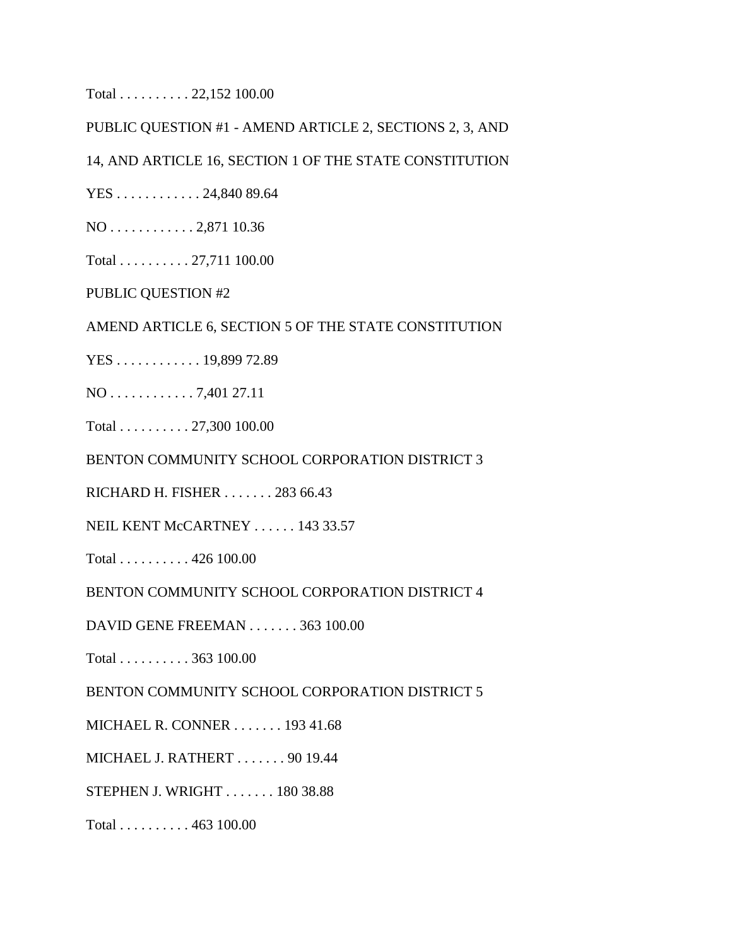Total . . . . . . . . . . 22,152 100.00

PUBLIC QUESTION #1 - AMEND ARTICLE 2, SECTIONS 2, 3, AND

14, AND ARTICLE 16, SECTION 1 OF THE STATE CONSTITUTION

YES . . . . . . . . . . . . 24,840 89.64

NO . . . . . . . . . . . . 2,871 10.36

Total . . . . . . . . . . 27,711 100.00

PUBLIC QUESTION #2

AMEND ARTICLE 6, SECTION 5 OF THE STATE CONSTITUTION

YES . . . . . . . . . . . . 19,899 72.89

NO . . . . . . . . . . . . 7,401 27.11

Total . . . . . . . . . . 27,300 100.00

BENTON COMMUNITY SCHOOL CORPORATION DISTRICT 3

RICHARD H. FISHER . . . . . . . 283 66.43

NEIL KENT McCARTNEY . . . . . . 143 33.57

Total . . . . . . . . . . 426 100.00

BENTON COMMUNITY SCHOOL CORPORATION DISTRICT 4

DAVID GENE FREEMAN . . . . . . . 363 100.00

Total . . . . . . . . . . 363 100.00

BENTON COMMUNITY SCHOOL CORPORATION DISTRICT 5

MICHAEL R. CONNER . . . . . . . 193 41.68

MICHAEL J. RATHERT . . . . . . . 90 19.44

STEPHEN J. WRIGHT . . . . . . . 180 38.88

Total . . . . . . . . . . 463 100.00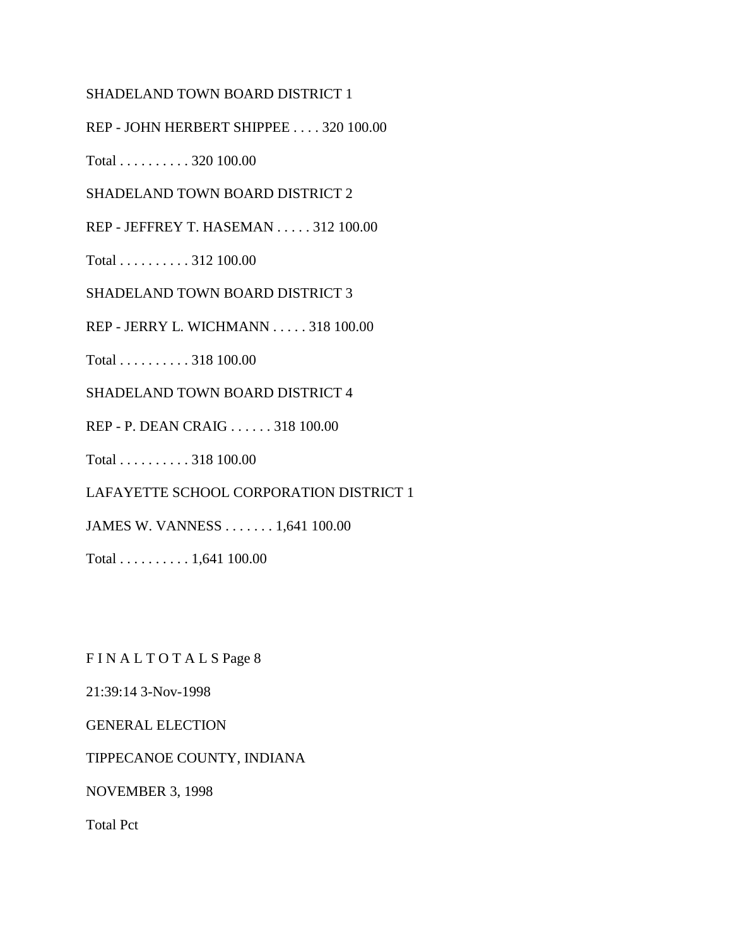#### SHADELAND TOWN BOARD DISTRICT 1

REP - JOHN HERBERT SHIPPEE . . . . 320 100.00

Total . . . . . . . . . . 320 100.00

SHADELAND TOWN BOARD DISTRICT 2

REP - JEFFREY T. HASEMAN . . . . . 312 100.00

Total . . . . . . . . . . 312 100.00

SHADELAND TOWN BOARD DISTRICT 3

REP - JERRY L. WICHMANN . . . . . 318 100.00

Total . . . . . . . . . . 318 100.00

SHADELAND TOWN BOARD DISTRICT 4

REP - P. DEAN CRAIG . . . . . . 318 100.00

Total . . . . . . . . . . 318 100.00

LAFAYETTE SCHOOL CORPORATION DISTRICT 1

JAMES W. VANNESS . . . . . . . 1,641 100.00

Total . . . . . . . . . . 1,641 100.00

FIN ALTOTALS Page 8

21:39:14 3-Nov-1998

GENERAL ELECTION

TIPPECANOE COUNTY, INDIANA

NOVEMBER 3, 1998

Total Pct